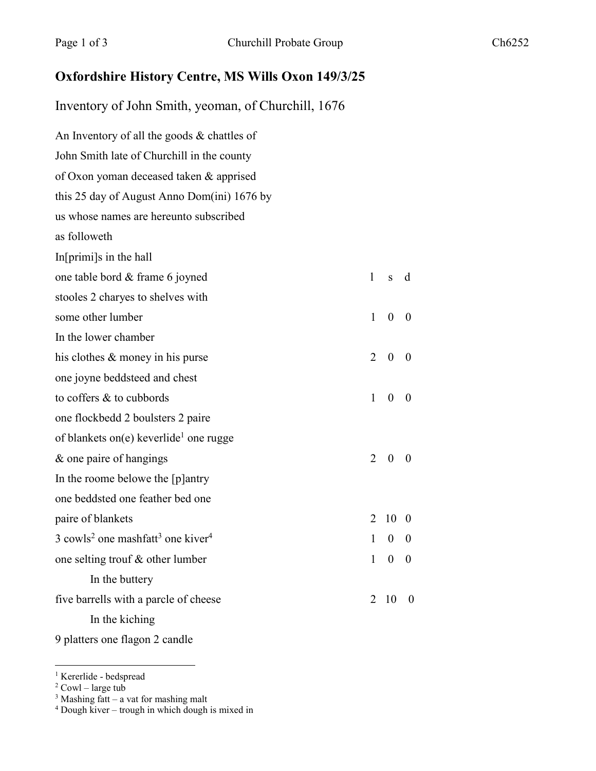## **Oxfordshire History Centre, MS Wills Oxon 149/3/25**

Inventory of John Smith, yeoman, of Churchill, 1676

An Inventory of all the goods & chattles of John Smith late of Churchill in the county of Oxon yoman deceased taken & apprised this 25 day of August Anno Dom(ini) 1676 by us whose names are hereunto subscribed as followeth In[primi]s in the hall one table bord & frame 6 joyned 1 s d stooles 2 charyes to shelves with some other lumber 1 0 0 In the lower chamber his clothes  $\&$  money in his purse 2 0 0 one joyne beddsteed and chest to coffers  $\&$  to cubbords  $1 \quad 0 \quad 0$ one flockbedd 2 boulsters 2 paire of blankets on(e) keverlide<sup>1</sup> one rugge  $\&$  one paire of hangings 2 0 0 In the roome belowe the [p]antry one beddsted one feather bed one paire of blankets 2 10 0  $3 \text{ cowls}^2$  one mashfatt<sup>3</sup> one kiver<sup>4</sup> 1 0 0 one selting trouf  $\&$  other lumber 1 0 0 In the buttery five barrells with a parcle of cheese 2 10 0 In the kiching 9 platters one flagon 2 candle

<sup>1</sup> Kererlide - bedspread

 $2$  Cowl – large tub

 $3$  Mashing fatt – a vat for mashing malt

<sup>4</sup> Dough kiver – trough in which dough is mixed in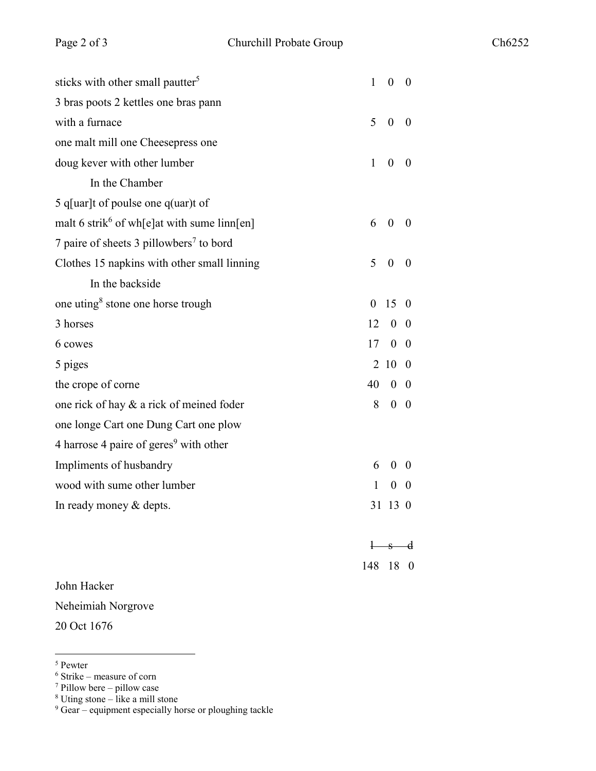| sticks with other small pautter <sup>5</sup>            | 1            | $\boldsymbol{0}$ | $\boldsymbol{0}$        |
|---------------------------------------------------------|--------------|------------------|-------------------------|
| 3 bras poots 2 kettles one bras pann                    |              |                  |                         |
| with a furnace                                          | 5            | $\boldsymbol{0}$ | $\boldsymbol{0}$        |
| one malt mill one Cheesepress one                       |              |                  |                         |
| doug kever with other lumber                            | $\mathbf{1}$ | $\boldsymbol{0}$ | $\theta$                |
| In the Chamber                                          |              |                  |                         |
| 5 q[uar]t of poulse one q(uar)t of                      |              |                  |                         |
| malt 6 strik <sup>6</sup> of wh[e]at with sume linn[en] | 6            | $\theta$         | $\theta$                |
| 7 paire of sheets 3 pillowbers <sup>7</sup> to bord     |              |                  |                         |
| Clothes 15 napkins with other small linning             | 5            | $\boldsymbol{0}$ | $\theta$                |
| In the backside                                         |              |                  |                         |
| one uting <sup>8</sup> stone one horse trough           | $\theta$     | 15               | $\theta$                |
| 3 horses                                                | 12           | $\boldsymbol{0}$ | $\theta$                |
| 6 cowes                                                 | 17           | $\boldsymbol{0}$ | $\boldsymbol{0}$        |
| 5 piges                                                 |              | 2 10             | $\bf{0}$                |
| the crope of corne                                      | 40           | $0\quad 0$       |                         |
| one rick of hay & a rick of meined foder                | 8            | $\overline{0}$   | $\overline{\mathbf{0}}$ |
| one longe Cart one Dung Cart one plow                   |              |                  |                         |
| 4 harrose 4 paire of geres <sup>9</sup> with other      |              |                  |                         |
| Impliments of husbandry                                 | 6            | $\theta$         | $\theta$                |
| wood with sume other lumber                             | $\mathbf{1}$ | $\boldsymbol{0}$ | $\theta$                |
| In ready money & depts.                                 | 31           | 13               | $\bf{0}$                |
|                                                         |              | $-5$             | $\mathbf{d}$            |
|                                                         | 148          | 18               | $\boldsymbol{0}$        |
| John Hacker                                             |              |                  |                         |

Neheimiah Norgrove

20 Oct 1676

 <sup>5</sup> Pewter

<sup>6</sup> Strike – measure of corn

 $7$  Pillow bere – pillow case

 $8$  Uting stone – like a mill stone

 $9$  Gear – equipment especially horse or ploughing tackle